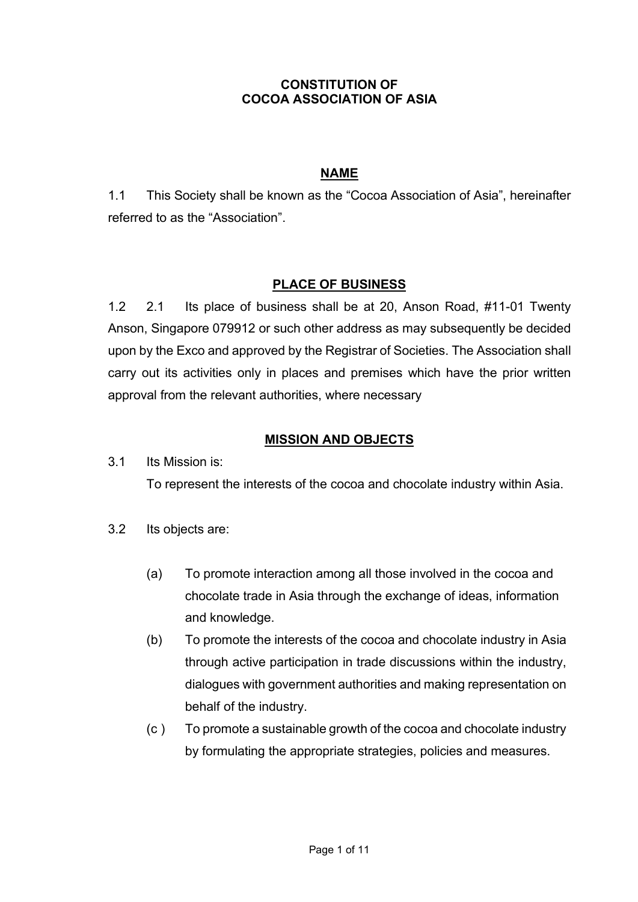## CONSTITUTION OF COCOA ASSOCIATION OF ASIA

# NAME

1.1 This Society shall be known as the "Cocoa Association of Asia", hereinafter referred to as the "Association".

## PLACE OF BUSINESS

1.2 2.1 Its place of business shall be at 20, Anson Road, #11-01 Twenty Anson, Singapore 079912 or such other address as may subsequently be decided upon by the Exco and approved by the Registrar of Societies. The Association shall carry out its activities only in places and premises which have the prior written approval from the relevant authorities, where necessary

## MISSION AND OBJECTS

3.1 Its Mission is:

To represent the interests of the cocoa and chocolate industry within Asia.

- 3.2 Its objects are:
	- (a) To promote interaction among all those involved in the cocoa and chocolate trade in Asia through the exchange of ideas, information and knowledge.
	- (b) To promote the interests of the cocoa and chocolate industry in Asia through active participation in trade discussions within the industry, dialogues with government authorities and making representation on behalf of the industry.
	- (c ) To promote a sustainable growth of the cocoa and chocolate industry by formulating the appropriate strategies, policies and measures.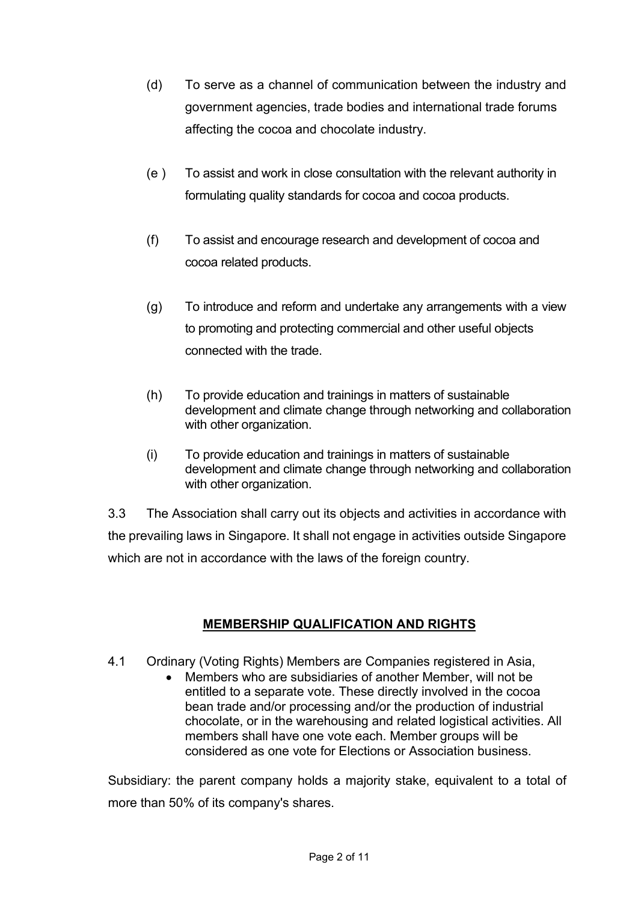- (d) To serve as a channel of communication between the industry and government agencies, trade bodies and international trade forums affecting the cocoa and chocolate industry.
- (e ) To assist and work in close consultation with the relevant authority in formulating quality standards for cocoa and cocoa products.
- (f) To assist and encourage research and development of cocoa and cocoa related products.
- (g) To introduce and reform and undertake any arrangements with a view to promoting and protecting commercial and other useful objects connected with the trade.
- (h) To provide education and trainings in matters of sustainable development and climate change through networking and collaboration with other organization.
- (i) To provide education and trainings in matters of sustainable development and climate change through networking and collaboration with other organization.

3.3 The Association shall carry out its objects and activities in accordance with the prevailing laws in Singapore. It shall not engage in activities outside Singapore which are not in accordance with the laws of the foreign country.

# MEMBERSHIP QUALIFICATION AND RIGHTS

- 4.1 Ordinary (Voting Rights) Members are Companies registered in Asia,
	- Members who are subsidiaries of another Member, will not be entitled to a separate vote. These directly involved in the cocoa bean trade and/or processing and/or the production of industrial chocolate, or in the warehousing and related logistical activities. All members shall have one vote each. Member groups will be considered as one vote for Elections or Association business.

Subsidiary: the parent company holds a majority stake, equivalent to a total of more than 50% of its company's shares.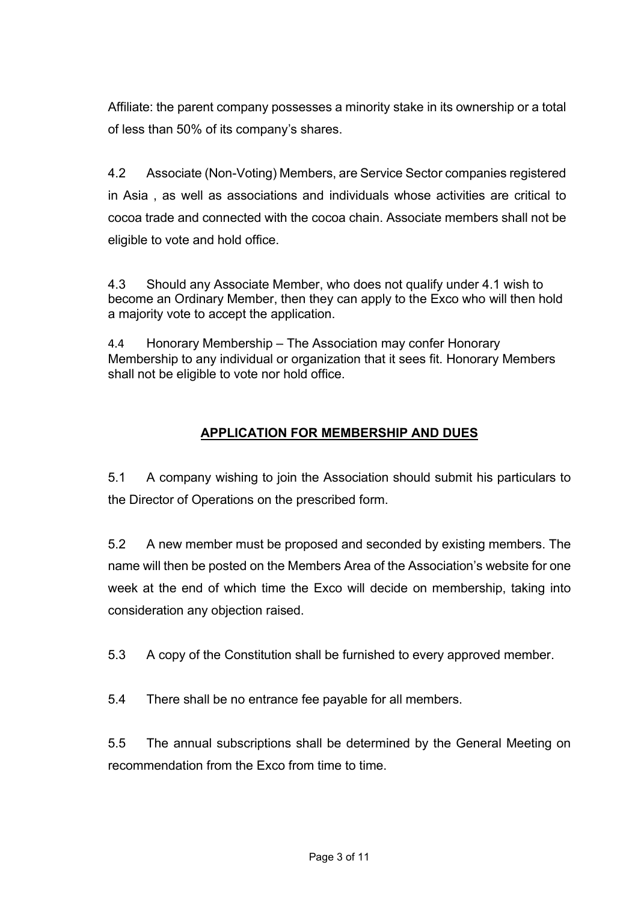Affiliate: the parent company possesses a minority stake in its ownership or a total of less than 50% of its company's shares.

4.2 Associate (Non-Voting) Members, are Service Sector companies registered in Asia , as well as associations and individuals whose activities are critical to cocoa trade and connected with the cocoa chain. Associate members shall not be eligible to vote and hold office.

4.3 Should any Associate Member, who does not qualify under 4.1 wish to become an Ordinary Member, then they can apply to the Exco who will then hold a majority vote to accept the application.

4.4 Honorary Membership – The Association may confer Honorary Membership to any individual or organization that it sees fit. Honorary Members shall not be eligible to vote nor hold office.

# APPLICATION FOR MEMBERSHIP AND DUES

5.1 A company wishing to join the Association should submit his particulars to the Director of Operations on the prescribed form.

5.2 A new member must be proposed and seconded by existing members. The name will then be posted on the Members Area of the Association's website for one week at the end of which time the Exco will decide on membership, taking into consideration any objection raised.

5.3 A copy of the Constitution shall be furnished to every approved member.

5.4 There shall be no entrance fee payable for all members.

5.5 The annual subscriptions shall be determined by the General Meeting on recommendation from the Exco from time to time.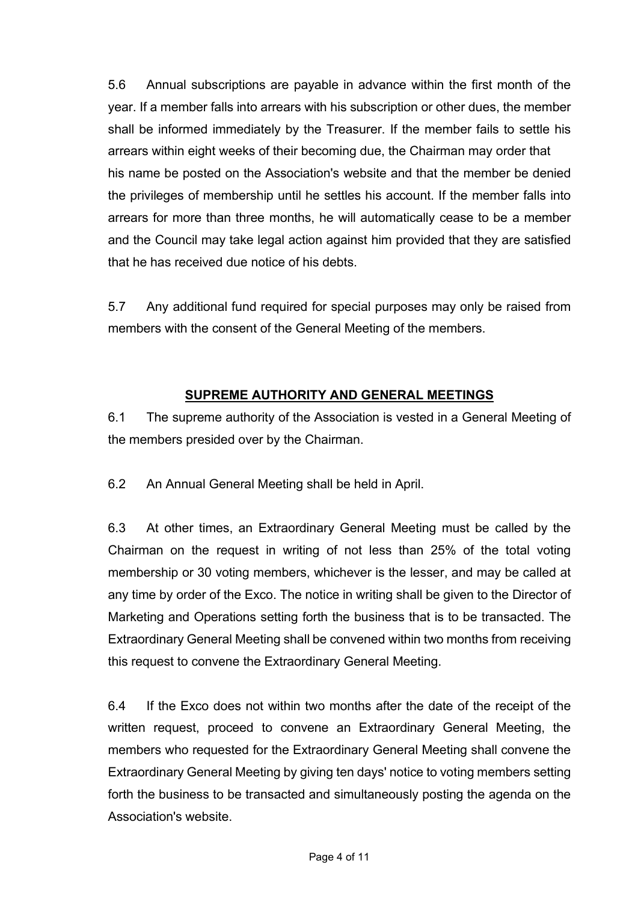5.6 Annual subscriptions are payable in advance within the first month of the year. If a member falls into arrears with his subscription or other dues, the member shall be informed immediately by the Treasurer. If the member fails to settle his arrears within eight weeks of their becoming due, the Chairman may order that his name be posted on the Association's website and that the member be denied the privileges of membership until he settles his account. If the member falls into arrears for more than three months, he will automatically cease to be a member and the Council may take legal action against him provided that they are satisfied that he has received due notice of his debts.

5.7 Any additional fund required for special purposes may only be raised from members with the consent of the General Meeting of the members.

# SUPREME AUTHORITY AND GENERAL MEETINGS

6.1 The supreme authority of the Association is vested in a General Meeting of the members presided over by the Chairman.

6.2 An Annual General Meeting shall be held in April.

6.3 At other times, an Extraordinary General Meeting must be called by the Chairman on the request in writing of not less than 25% of the total voting membership or 30 voting members, whichever is the lesser, and may be called at any time by order of the Exco. The notice in writing shall be given to the Director of Marketing and Operations setting forth the business that is to be transacted. The Extraordinary General Meeting shall be convened within two months from receiving this request to convene the Extraordinary General Meeting.

6.4 If the Exco does not within two months after the date of the receipt of the written request, proceed to convene an Extraordinary General Meeting, the members who requested for the Extraordinary General Meeting shall convene the Extraordinary General Meeting by giving ten days' notice to voting members setting forth the business to be transacted and simultaneously posting the agenda on the Association's website.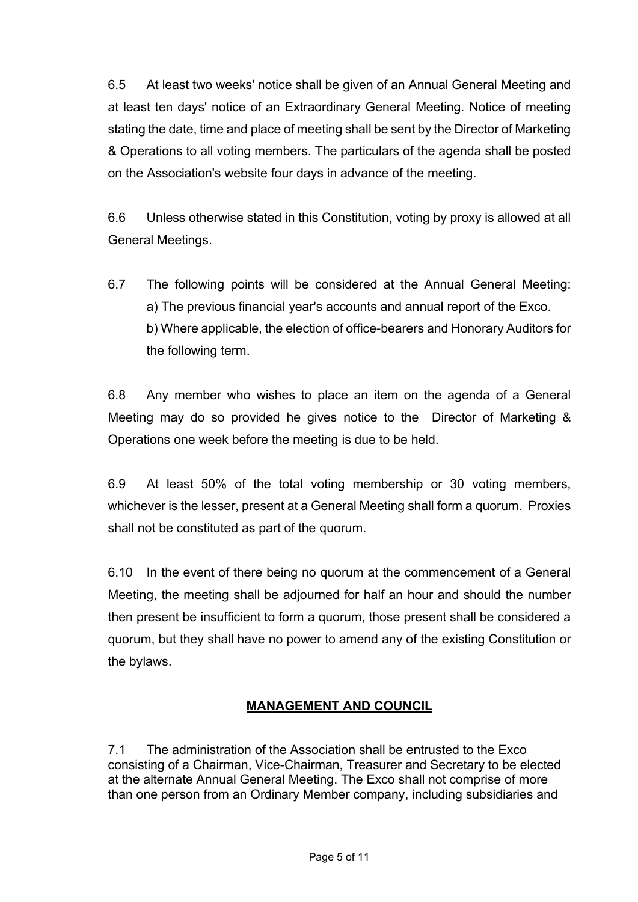6.5 At least two weeks' notice shall be given of an Annual General Meeting and at least ten days' notice of an Extraordinary General Meeting. Notice of meeting stating the date, time and place of meeting shall be sent by the Director of Marketing & Operations to all voting members. The particulars of the agenda shall be posted on the Association's website four days in advance of the meeting.

6.6 Unless otherwise stated in this Constitution, voting by proxy is allowed at all General Meetings.

6.7 The following points will be considered at the Annual General Meeting: a) The previous financial year's accounts and annual report of the Exco. b) Where applicable, the election of office-bearers and Honorary Auditors for the following term.

6.8 Any member who wishes to place an item on the agenda of a General Meeting may do so provided he gives notice to the Director of Marketing & Operations one week before the meeting is due to be held.

6.9 At least 50% of the total voting membership or 30 voting members, whichever is the lesser, present at a General Meeting shall form a quorum. Proxies shall not be constituted as part of the quorum.

6.10 In the event of there being no quorum at the commencement of a General Meeting, the meeting shall be adjourned for half an hour and should the number then present be insufficient to form a quorum, those present shall be considered a quorum, but they shall have no power to amend any of the existing Constitution or the bylaws.

# MANAGEMENT AND COUNCIL

7.1 The administration of the Association shall be entrusted to the Exco consisting of a Chairman, Vice-Chairman, Treasurer and Secretary to be elected at the alternate Annual General Meeting. The Exco shall not comprise of more than one person from an Ordinary Member company, including subsidiaries and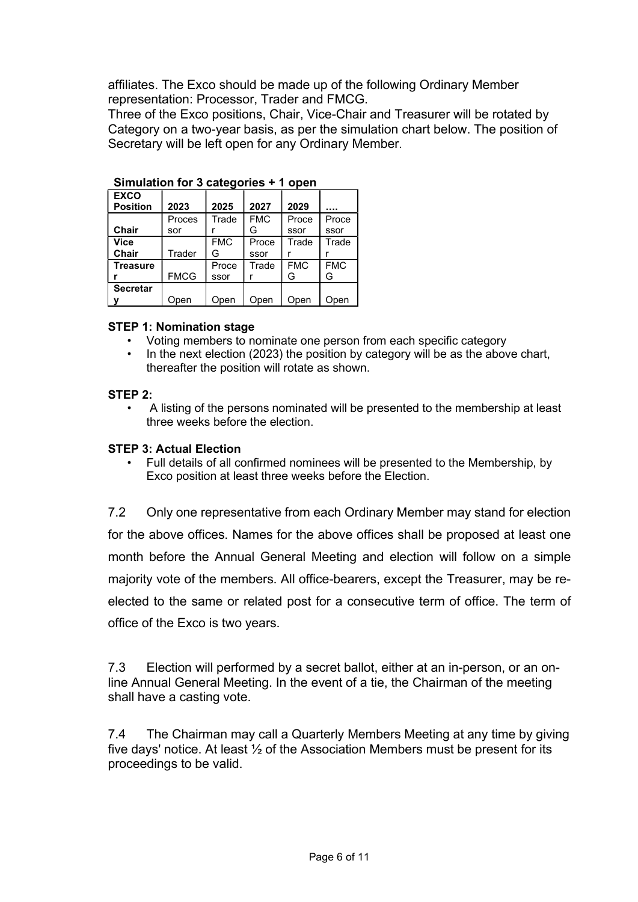affiliates. The Exco should be made up of the following Ordinary Member representation: Processor, Trader and FMCG.

Three of the Exco positions, Chair, Vice-Chair and Treasurer will be rotated by Category on a two-year basis, as per the simulation chart below. The position of Secretary will be left open for any Ordinary Member.

| <b>Unnafation for a categories</b> .<br>ווטשט ו |             |            |            |            |            |
|-------------------------------------------------|-------------|------------|------------|------------|------------|
| <b>EXCO</b>                                     |             |            |            |            |            |
| <b>Position</b>                                 | 2023        | 2025       | 2027       | 2029       |            |
|                                                 | Proces      | Trade      | <b>FMC</b> | Proce      | Proce      |
| <b>Chair</b>                                    | sor         |            | G          | ssor       | ssor       |
| <b>Vice</b>                                     |             | <b>FMC</b> | Proce      | Trade      | Trade      |
| <b>Chair</b>                                    | Trader      | G          | ssor       |            |            |
| <b>Treasure</b>                                 |             | Proce      | Trade      | <b>FMC</b> | <b>FMC</b> |
|                                                 | <b>FMCG</b> | ssor       |            | G          | G          |
| <b>Secretar</b>                                 |             |            |            |            |            |
|                                                 | Open        | Open       | Open       | Open       | Open       |

Simulation for 3 categories + 1 open

### STEP 1: Nomination stage

- Voting members to nominate one person from each specific category
- In the next election (2023) the position by category will be as the above chart, thereafter the position will rotate as shown.

#### STEP 2:

• A listing of the persons nominated will be presented to the membership at least three weeks before the election.

### STEP 3: Actual Election

• Full details of all confirmed nominees will be presented to the Membership, by Exco position at least three weeks before the Election.

7.2 Only one representative from each Ordinary Member may stand for election for the above offices. Names for the above offices shall be proposed at least one month before the Annual General Meeting and election will follow on a simple majority vote of the members. All office-bearers, except the Treasurer, may be reelected to the same or related post for a consecutive term of office. The term of office of the Exco is two years.

7.3 Election will performed by a secret ballot, either at an in-person, or an online Annual General Meeting. In the event of a tie, the Chairman of the meeting shall have a casting vote.

7.4 The Chairman may call a Quarterly Members Meeting at any time by giving five days' notice. At least  $\frac{1}{2}$  of the Association Members must be present for its proceedings to be valid.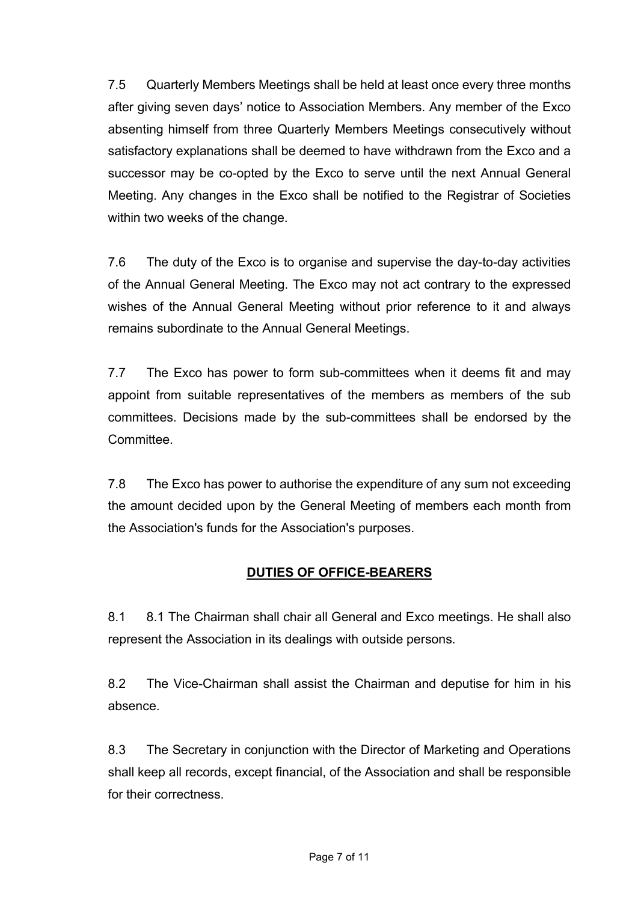7.5 Quarterly Members Meetings shall be held at least once every three months after giving seven days' notice to Association Members. Any member of the Exco absenting himself from three Quarterly Members Meetings consecutively without satisfactory explanations shall be deemed to have withdrawn from the Exco and a successor may be co-opted by the Exco to serve until the next Annual General Meeting. Any changes in the Exco shall be notified to the Registrar of Societies within two weeks of the change.

7.6 The duty of the Exco is to organise and supervise the day-to-day activities of the Annual General Meeting. The Exco may not act contrary to the expressed wishes of the Annual General Meeting without prior reference to it and always remains subordinate to the Annual General Meetings.

7.7 The Exco has power to form sub-committees when it deems fit and may appoint from suitable representatives of the members as members of the sub committees. Decisions made by the sub-committees shall be endorsed by the **Committee** 

7.8 The Exco has power to authorise the expenditure of any sum not exceeding the amount decided upon by the General Meeting of members each month from the Association's funds for the Association's purposes.

# DUTIES OF OFFICE-BEARERS

8.1 8.1 The Chairman shall chair all General and Exco meetings. He shall also represent the Association in its dealings with outside persons.

8.2 The Vice-Chairman shall assist the Chairman and deputise for him in his absence.

8.3 The Secretary in conjunction with the Director of Marketing and Operations shall keep all records, except financial, of the Association and shall be responsible for their correctness.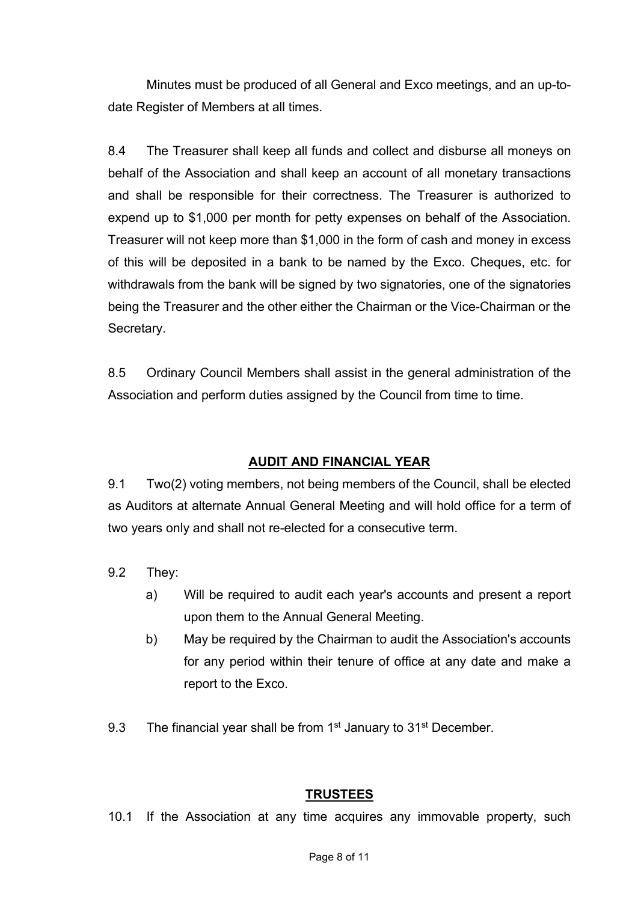Minutes must be produced of all General and Exco meetings, and an up-todate Register of Members at all times.

8.4 The Treasurer shall keep all funds and collect and disburse all moneys on behalf of the Association and shall keep an account of all monetary transactions and shall be responsible for their correctness. The Treasurer is authorized to expend up to \$1,000 per month for petty expenses on behalf of the Association. Treasurer will not keep more than \$1,000 in the form of cash and money in excess of this will be deposited in a bank to be named by the Exco. Cheques, etc. for withdrawals from the bank will be signed by two signatories, one of the signatories being the Treasurer and the other either the Chairman or the Vice-Chairman or the Secretary.

8.5 Ordinary Council Members shall assist in the general administration of the Association and perform duties assigned by the Council from time to time.

## AUDIT AND FINANCIAL YEAR

9.1 Two(2) voting members, not being members of the Council, shall be elected as Auditors at alternate Annual General Meeting and will hold office for a term of two years only and shall not re-elected for a consecutive term.

- 9.2 They:
	- a) Will be required to audit each year's accounts and present a report upon them to the Annual General Meeting.
	- b) May be required by the Chairman to audit the Association's accounts for any period within their tenure of office at any date and make a report to the Exco.
- 9.3 The financial year shall be from 1<sup>st</sup> January to 31<sup>st</sup> December.

### **TRUSTEES**

10.1 If the Association at any time acquires any immovable property, such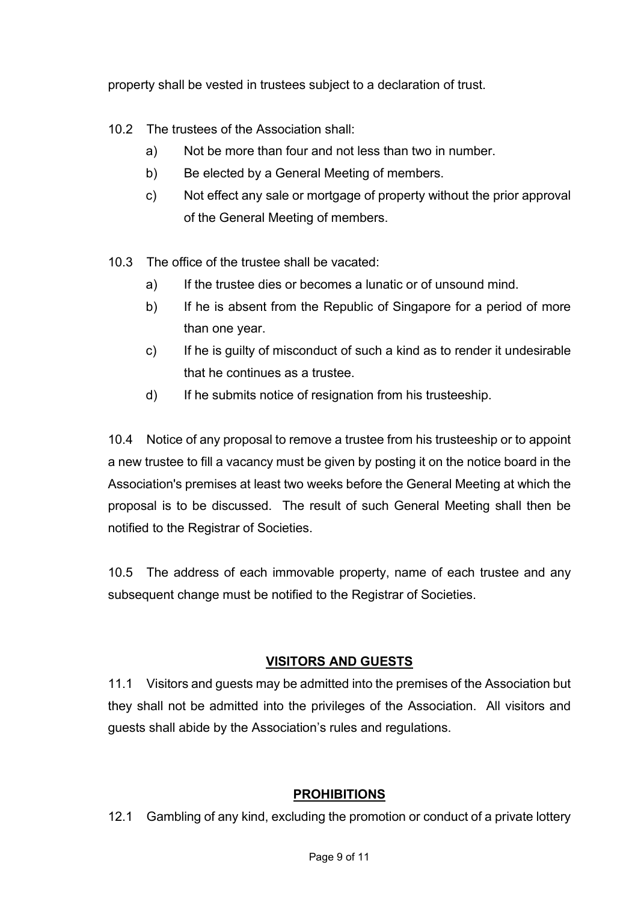property shall be vested in trustees subject to a declaration of trust.

- 10.2 The trustees of the Association shall:
	- a) Not be more than four and not less than two in number.
	- b) Be elected by a General Meeting of members.
	- c) Not effect any sale or mortgage of property without the prior approval of the General Meeting of members.
- 10.3 The office of the trustee shall be vacated:
	- a) If the trustee dies or becomes a lunatic or of unsound mind.
	- b) If he is absent from the Republic of Singapore for a period of more than one year.
	- c) If he is guilty of misconduct of such a kind as to render it undesirable that he continues as a trustee.
	- d) If he submits notice of resignation from his trusteeship.

10.4 Notice of any proposal to remove a trustee from his trusteeship or to appoint a new trustee to fill a vacancy must be given by posting it on the notice board in the Association's premises at least two weeks before the General Meeting at which the proposal is to be discussed. The result of such General Meeting shall then be notified to the Registrar of Societies.

10.5 The address of each immovable property, name of each trustee and any subsequent change must be notified to the Registrar of Societies.

# VISITORS AND GUESTS

11.1 Visitors and guests may be admitted into the premises of the Association but they shall not be admitted into the privileges of the Association. All visitors and guests shall abide by the Association's rules and regulations.

# PROHIBITIONS

12.1 Gambling of any kind, excluding the promotion or conduct of a private lottery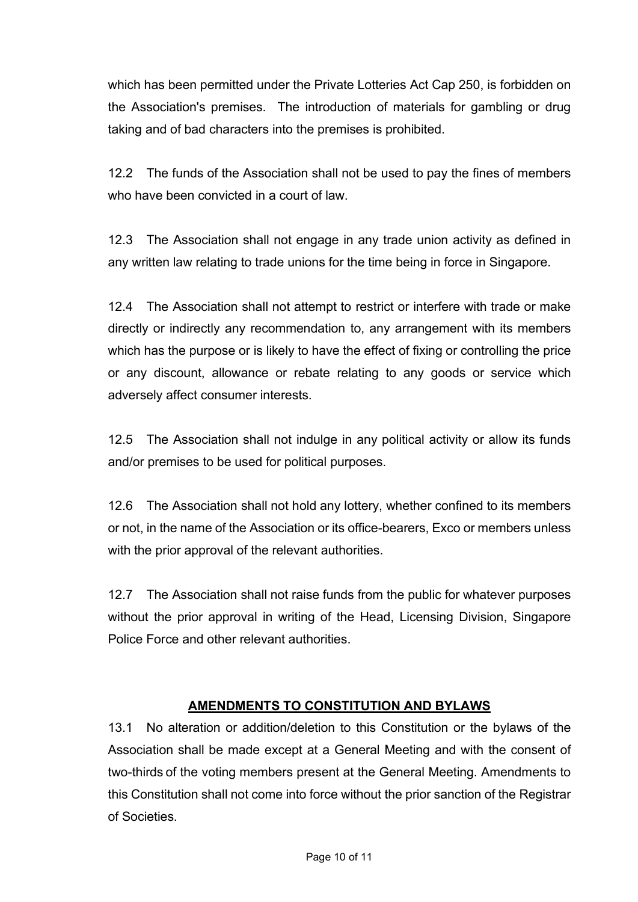which has been permitted under the Private Lotteries Act Cap 250, is forbidden on the Association's premises. The introduction of materials for gambling or drug taking and of bad characters into the premises is prohibited.

12.2 The funds of the Association shall not be used to pay the fines of members who have been convicted in a court of law

12.3 The Association shall not engage in any trade union activity as defined in any written law relating to trade unions for the time being in force in Singapore.

12.4 The Association shall not attempt to restrict or interfere with trade or make directly or indirectly any recommendation to, any arrangement with its members which has the purpose or is likely to have the effect of fixing or controlling the price or any discount, allowance or rebate relating to any goods or service which adversely affect consumer interests.

12.5 The Association shall not indulge in any political activity or allow its funds and/or premises to be used for political purposes.

12.6 The Association shall not hold any lottery, whether confined to its members or not, in the name of the Association or its office-bearers, Exco or members unless with the prior approval of the relevant authorities.

12.7 The Association shall not raise funds from the public for whatever purposes without the prior approval in writing of the Head, Licensing Division, Singapore Police Force and other relevant authorities.

## AMENDMENTS TO CONSTITUTION AND BYLAWS

13.1 No alteration or addition/deletion to this Constitution or the bylaws of the Association shall be made except at a General Meeting and with the consent of two-thirds of the voting members present at the General Meeting. Amendments to this Constitution shall not come into force without the prior sanction of the Registrar of Societies.